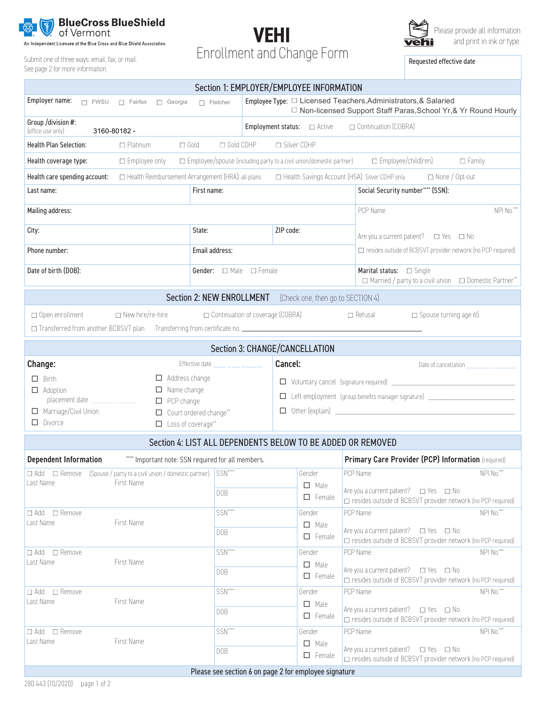

An Independent Licensee of the Blue Cross and Blue Shield Association.

See page 2 for more information.





| Section 1: EMPLOYER/EMPLOYEE INFORMATION                                                                                                                                                                              |                                                                                                                                                       |                                                                                                                                                                                                         |  |  |  |  |  |  |  |  |
|-----------------------------------------------------------------------------------------------------------------------------------------------------------------------------------------------------------------------|-------------------------------------------------------------------------------------------------------------------------------------------------------|---------------------------------------------------------------------------------------------------------------------------------------------------------------------------------------------------------|--|--|--|--|--|--|--|--|
| Employer name:<br>$\Box$ FWSU<br>Georgia<br>□ Fairfax                                                                                                                                                                 | Employee Type: □ Licensed Teachers, Administrators, & Salaried<br>$\Box$ Fletcher<br>□ Non-licensed Support Staff Paras, School Yr, & Yr Round Hourly |                                                                                                                                                                                                         |  |  |  |  |  |  |  |  |
| Group /division #:<br>Continuation (COBRA)<br>(office use only)<br>3160-80182 -                                                                                                                                       |                                                                                                                                                       |                                                                                                                                                                                                         |  |  |  |  |  |  |  |  |
| $\Box$ Gold CDHP<br>□ Silver CDHP<br><b>Health Plan Selection:</b><br>$\Box$ Platinum<br>$\Box$ Gold                                                                                                                  |                                                                                                                                                       |                                                                                                                                                                                                         |  |  |  |  |  |  |  |  |
| $\square$ Employee/spouse (including party to a civil union/domestic partner)<br>□ Employee/child(ren)<br>Health coverage type:<br>□ Employee only<br>$\Box$ Family                                                   |                                                                                                                                                       |                                                                                                                                                                                                         |  |  |  |  |  |  |  |  |
| Health Reimbursement Arrangement (HRA): all plans<br>□ Health Savings Account (HSA): Silver CDHP only □ None / Opt-out<br>Health care spending account:                                                               |                                                                                                                                                       |                                                                                                                                                                                                         |  |  |  |  |  |  |  |  |
| Last name:                                                                                                                                                                                                            | Social Security number**** (SSN):                                                                                                                     |                                                                                                                                                                                                         |  |  |  |  |  |  |  |  |
| Mailing address:                                                                                                                                                                                                      | NPI No.***<br>PCP Name                                                                                                                                |                                                                                                                                                                                                         |  |  |  |  |  |  |  |  |
| City:                                                                                                                                                                                                                 | State:                                                                                                                                                | ZIP code:<br>Are you a current patient? $\Box$ Yes $\Box$ No                                                                                                                                            |  |  |  |  |  |  |  |  |
| Phone number:                                                                                                                                                                                                         | Email address:                                                                                                                                        | □ resides outside of BCBSVT provider network (no PCP required)                                                                                                                                          |  |  |  |  |  |  |  |  |
| Date of birth (DOB):                                                                                                                                                                                                  | Gender: $\Box$ Male $\Box$ Female                                                                                                                     | Marital status:<br>$\Box$ Single<br>□ Married / party to a civil union □ Domestic Partner**                                                                                                             |  |  |  |  |  |  |  |  |
| <b>Section 2: NEW ENROLLMENT</b><br>(Check one, then go to SECTION 4)                                                                                                                                                 |                                                                                                                                                       |                                                                                                                                                                                                         |  |  |  |  |  |  |  |  |
| $\Box$ New hire/re-hire<br>$\Box$ Open enrollment<br>□ Continuation of coverage (COBRA)<br>$\Box$ Refusal<br>$\square$ Spouse turning age 65                                                                          |                                                                                                                                                       |                                                                                                                                                                                                         |  |  |  |  |  |  |  |  |
|                                                                                                                                                                                                                       |                                                                                                                                                       | Section 3: CHANGE/CANCELLATION                                                                                                                                                                          |  |  |  |  |  |  |  |  |
| Change:<br>$\Box$ Address change<br>$\Box$ Birth<br>$\Box$ Name change<br>$\Box$ Adoption<br>placement date ____ ___ ____<br>$\Box$ PCP change<br>Marriage/Civil Union<br>$\Box$ Divorce<br>$\Box$ Loss of coverage** | Effective date ____ ___ ____<br>Court ordered change**                                                                                                | Cancel:<br>Date of cancellation $\frac{1}{2}$ $\frac{1}{2}$ $\frac{1}{2}$ $\frac{1}{2}$ $\frac{1}{2}$ $\frac{1}{2}$<br>□ Left employment (group benefits manager signature) ___________________________ |  |  |  |  |  |  |  |  |
|                                                                                                                                                                                                                       |                                                                                                                                                       | Section 4: LIST ALL DEPENDENTS BELOW TO BE ADDED OR REMOVED                                                                                                                                             |  |  |  |  |  |  |  |  |
| <b>Dependent Information</b>                                                                                                                                                                                          | """ Important note: SSN required for all members.                                                                                                     | Primary Care Provider (PCP) Information (required)                                                                                                                                                      |  |  |  |  |  |  |  |  |
| $\Box \text{ Add } \Box \text{ Remove } (\text{Spouse } / \text{party to a civil union } / \text{ domestic partner}) \mid \text{SSN}^{\dots}$<br>Last Name<br>First Name                                              | DOB                                                                                                                                                   | NPI No.***<br>PCP Name<br>Gender<br>$\Box$ Male<br>Are you a current patient? $\Box$ Yes $\Box$ No<br>$\Box$ Female<br>□ resides outside of BCBSVT provider network (no PCP required)                   |  |  |  |  |  |  |  |  |
| $\Box$ Add $\Box$ Remove<br>First Name<br>Last Name                                                                                                                                                                   | SSN****<br>DOB                                                                                                                                        | PCP Name<br>NPI No.***<br>Gender<br>$\Box$ Male<br>Are you a current patient? $\Box$ Yes $\Box$ No<br>$\Box$ Female<br>$\Box$ resides outside of BCBSVT provider network (no PCP required)              |  |  |  |  |  |  |  |  |
| □ Add □ Remove<br>Last Name<br>First Name                                                                                                                                                                             | SSN****<br>DOB                                                                                                                                        | NPI No.***<br>Gender<br>PCP Name<br>$\Box$ Male<br>Are you a current patient? □ Yes □ No<br>$\Box$ Female<br>□ resides outside of BCBSVT provider network (no PCP required)                             |  |  |  |  |  |  |  |  |
| □ Add □ Remove<br>Last Name<br>First Name                                                                                                                                                                             | SSN****<br>DOB                                                                                                                                        | NPI No.***<br>Gender<br>PCP Name<br>$\Box$ Male<br>Are you a current patient? $\Box$ Yes $\Box$ No<br>$\Box$ Female<br>□ resides outside of BCBSVT provider network (no PCP required)                   |  |  |  |  |  |  |  |  |
| $\Box$ Add $\Box$ Remove<br>Last Name<br>First Name                                                                                                                                                                   | SSN****<br>DOB                                                                                                                                        | PCP Name<br>NPI No.***<br>Gender<br>$\Box$ Male<br>Are you a current patient? □ Yes □ No<br>$\Box$ Female<br>□ resides outside of BCBSVT provider network (no PCP required)                             |  |  |  |  |  |  |  |  |